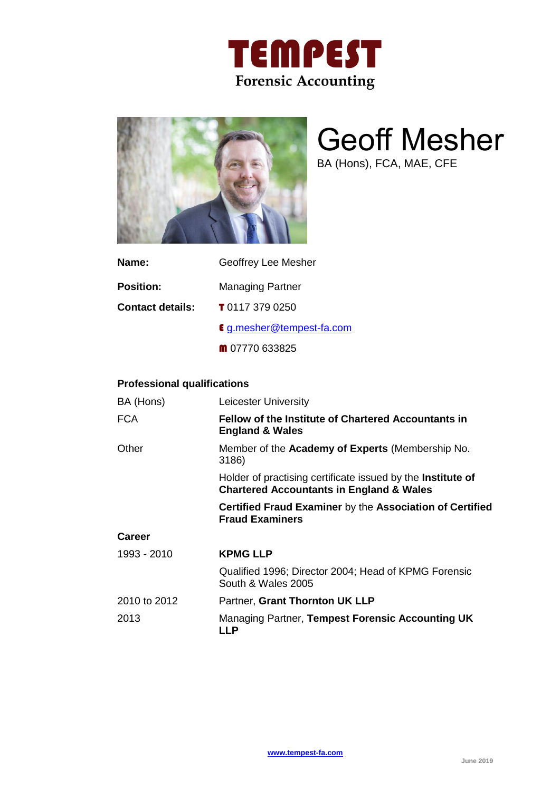



# Geoff Mesher

BA (Hons), FCA, MAE, CFE

| Name:            | Geoffrey Lee Mesher              |
|------------------|----------------------------------|
| <b>Position:</b> | <b>Managing Partner</b>          |
| Contact details: | <b>T</b> 0117 379 0250           |
|                  | <b>€</b> g.mesher@tempest-fa.com |
|                  | $\text{m}$ 07770 633825          |

# **Professional qualifications**

| BA (Hons)     | Leicester University                                                                                                      |
|---------------|---------------------------------------------------------------------------------------------------------------------------|
| <b>FCA</b>    | <b>Fellow of the Institute of Chartered Accountants in</b><br><b>England &amp; Wales</b>                                  |
| Other         | Member of the <b>Academy of Experts</b> (Membership No.<br>3186)                                                          |
|               | Holder of practising certificate issued by the <b>Institute of</b><br><b>Chartered Accountants in England &amp; Wales</b> |
|               | Certified Fraud Examiner by the Association of Certified<br><b>Fraud Examiners</b>                                        |
| <b>Career</b> |                                                                                                                           |
| 1993 - 2010   | <b>KPMG LLP</b>                                                                                                           |
|               | Qualified 1996; Director 2004; Head of KPMG Forensic<br>South & Wales 2005                                                |
| 2010 to 2012  | Partner, Grant Thornton UK LLP                                                                                            |
| 2013          | Managing Partner, Tempest Forensic Accounting UK<br><b>LLP</b>                                                            |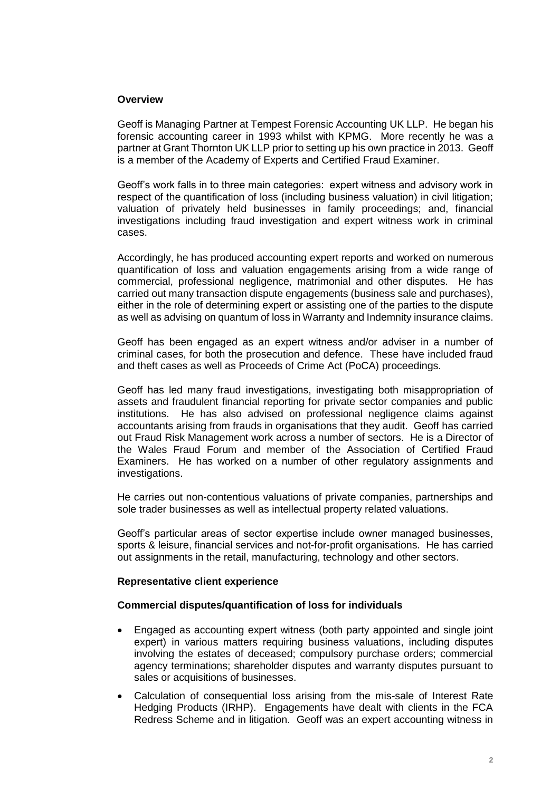## **Overview**

Geoff is Managing Partner at Tempest Forensic Accounting UK LLP. He began his forensic accounting career in 1993 whilst with KPMG. More recently he was a partner at Grant Thornton UK LLP prior to setting up his own practice in 2013. Geoff is a member of the Academy of Experts and Certified Fraud Examiner.

Geoff's work falls in to three main categories: expert witness and advisory work in respect of the quantification of loss (including business valuation) in civil litigation; valuation of privately held businesses in family proceedings; and, financial investigations including fraud investigation and expert witness work in criminal cases.

Accordingly, he has produced accounting expert reports and worked on numerous quantification of loss and valuation engagements arising from a wide range of commercial, professional negligence, matrimonial and other disputes. He has carried out many transaction dispute engagements (business sale and purchases), either in the role of determining expert or assisting one of the parties to the dispute as well as advising on quantum of loss in Warranty and Indemnity insurance claims.

Geoff has been engaged as an expert witness and/or adviser in a number of criminal cases, for both the prosecution and defence. These have included fraud and theft cases as well as Proceeds of Crime Act (PoCA) proceedings.

Geoff has led many fraud investigations, investigating both misappropriation of assets and fraudulent financial reporting for private sector companies and public institutions. He has also advised on professional negligence claims against accountants arising from frauds in organisations that they audit. Geoff has carried out Fraud Risk Management work across a number of sectors. He is a Director of the Wales Fraud Forum and member of the Association of Certified Fraud Examiners. He has worked on a number of other regulatory assignments and investigations.

He carries out non-contentious valuations of private companies, partnerships and sole trader businesses as well as intellectual property related valuations.

Geoff's particular areas of sector expertise include owner managed businesses, sports & leisure, financial services and not-for-profit organisations. He has carried out assignments in the retail, manufacturing, technology and other sectors.

#### **Representative client experience**

#### **Commercial disputes/quantification of loss for individuals**

- Engaged as accounting expert witness (both party appointed and single joint expert) in various matters requiring business valuations, including disputes involving the estates of deceased; compulsory purchase orders; commercial agency terminations; shareholder disputes and warranty disputes pursuant to sales or acquisitions of businesses.
- Calculation of consequential loss arising from the mis-sale of Interest Rate Hedging Products (IRHP). Engagements have dealt with clients in the FCA Redress Scheme and in litigation. Geoff was an expert accounting witness in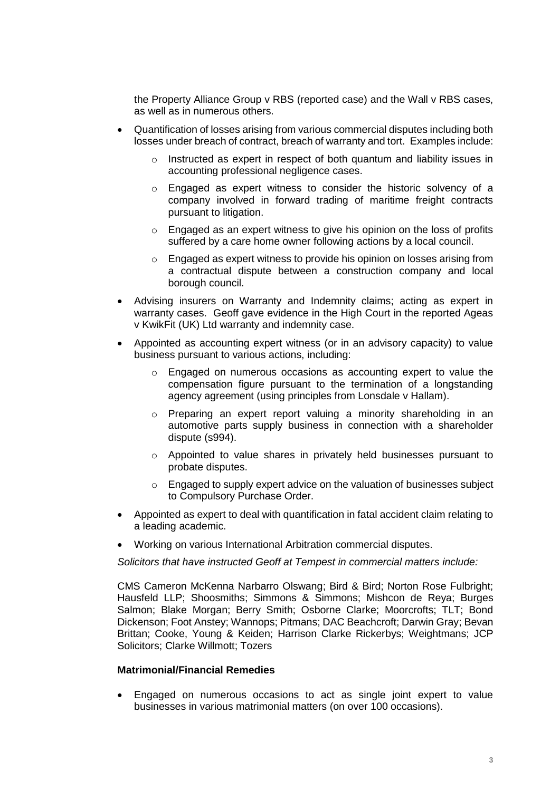the Property Alliance Group v RBS (reported case) and the Wall v RBS cases, as well as in numerous others.

- Quantification of losses arising from various commercial disputes including both losses under breach of contract, breach of warranty and tort. Examples include:
	- o Instructed as expert in respect of both quantum and liability issues in accounting professional negligence cases.
	- o Engaged as expert witness to consider the historic solvency of a company involved in forward trading of maritime freight contracts pursuant to litigation.
	- o Engaged as an expert witness to give his opinion on the loss of profits suffered by a care home owner following actions by a local council.
	- o Engaged as expert witness to provide his opinion on losses arising from a contractual dispute between a construction company and local borough council.
- Advising insurers on Warranty and Indemnity claims; acting as expert in warranty cases. Geoff gave evidence in the High Court in the reported Ageas v KwikFit (UK) Ltd warranty and indemnity case.
- Appointed as accounting expert witness (or in an advisory capacity) to value business pursuant to various actions, including:
	- o Engaged on numerous occasions as accounting expert to value the compensation figure pursuant to the termination of a longstanding agency agreement (using principles from Lonsdale v Hallam).
	- $\circ$  Preparing an expert report valuing a minority shareholding in an automotive parts supply business in connection with a shareholder dispute (s994).
	- o Appointed to value shares in privately held businesses pursuant to probate disputes.
	- $\circ$  Engaged to supply expert advice on the valuation of businesses subject to Compulsory Purchase Order.
- Appointed as expert to deal with quantification in fatal accident claim relating to a leading academic.
- Working on various International Arbitration commercial disputes.

*Solicitors that have instructed Geoff at Tempest in commercial matters include:*

CMS Cameron McKenna Narbarro Olswang; Bird & Bird; Norton Rose Fulbright; Hausfeld LLP; Shoosmiths; Simmons & Simmons; Mishcon de Reya; Burges Salmon; Blake Morgan; Berry Smith; Osborne Clarke; Moorcrofts; TLT; Bond Dickenson; Foot Anstey; Wannops; Pitmans; DAC Beachcroft; Darwin Gray; Bevan Brittan; Cooke, Young & Keiden; Harrison Clarke Rickerbys; Weightmans; JCP Solicitors; Clarke Willmott; Tozers

#### **Matrimonial/Financial Remedies**

• Engaged on numerous occasions to act as single joint expert to value businesses in various matrimonial matters (on over 100 occasions).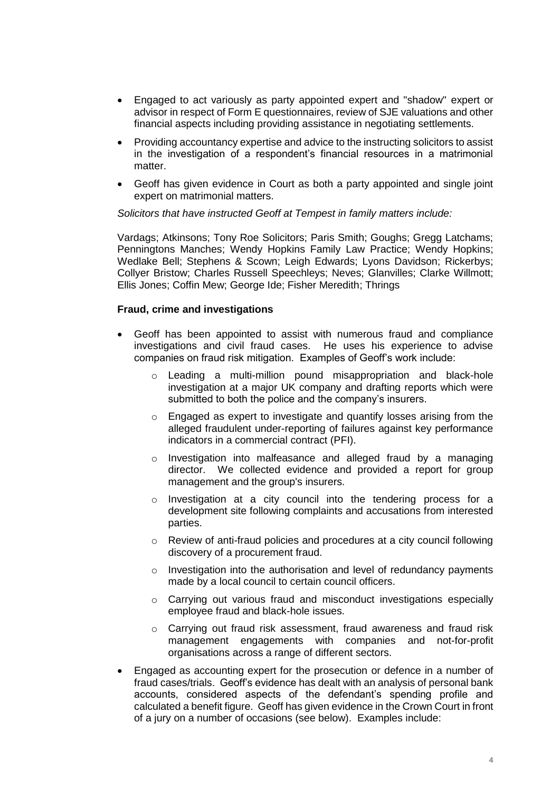- Engaged to act variously as party appointed expert and "shadow" expert or advisor in respect of Form E questionnaires, review of SJE valuations and other financial aspects including providing assistance in negotiating settlements.
- Providing accountancy expertise and advice to the instructing solicitors to assist in the investigation of a respondent's financial resources in a matrimonial matter.
- Geoff has given evidence in Court as both a party appointed and single joint expert on matrimonial matters.

*Solicitors that have instructed Geoff at Tempest in family matters include:*

Vardags; Atkinsons; Tony Roe Solicitors; Paris Smith; Goughs; Gregg Latchams; Penningtons Manches; Wendy Hopkins Family Law Practice; Wendy Hopkins; Wedlake Bell; Stephens & Scown; Leigh Edwards; Lyons Davidson; Rickerbys; Collyer Bristow; Charles Russell Speechleys; Neves; Glanvilles; Clarke Willmott; Ellis Jones; Coffin Mew; George Ide; Fisher Meredith; Thrings

# **Fraud, crime and investigations**

- Geoff has been appointed to assist with numerous fraud and compliance investigations and civil fraud cases. He uses his experience to advise companies on fraud risk mitigation. Examples of Geoff's work include:
	- o Leading a multi-million pound misappropriation and black-hole investigation at a major UK company and drafting reports which were submitted to both the police and the company's insurers.
	- o Engaged as expert to investigate and quantify losses arising from the alleged fraudulent under-reporting of failures against key performance indicators in a commercial contract (PFI).
	- o Investigation into malfeasance and alleged fraud by a managing director. We collected evidence and provided a report for group management and the group's insurers.
	- $\circ$  Investigation at a city council into the tendering process for a development site following complaints and accusations from interested parties.
	- $\circ$  Review of anti-fraud policies and procedures at a city council following discovery of a procurement fraud.
	- o Investigation into the authorisation and level of redundancy payments made by a local council to certain council officers.
	- o Carrying out various fraud and misconduct investigations especially employee fraud and black-hole issues.
	- o Carrying out fraud risk assessment, fraud awareness and fraud risk management engagements with companies and not-for-profit organisations across a range of different sectors.
- Engaged as accounting expert for the prosecution or defence in a number of fraud cases/trials. Geoff's evidence has dealt with an analysis of personal bank accounts, considered aspects of the defendant's spending profile and calculated a benefit figure. Geoff has given evidence in the Crown Court in front of a jury on a number of occasions (see below). Examples include: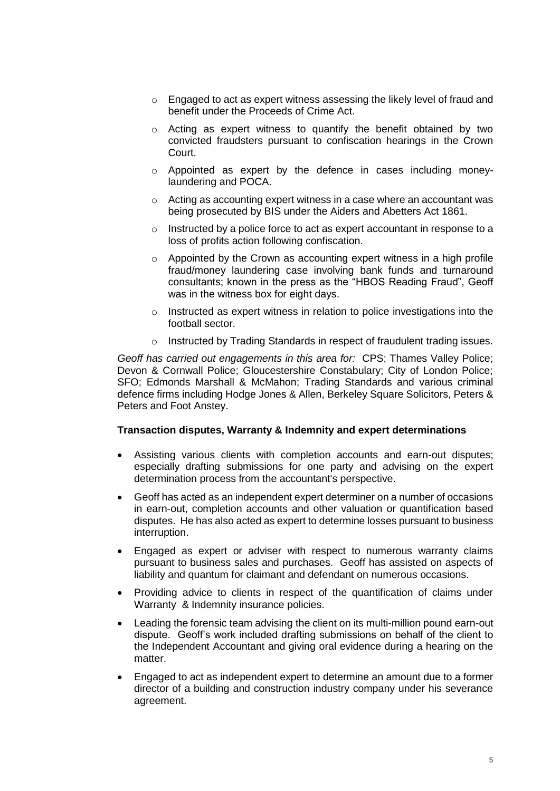- $\circ$  Engaged to act as expert witness assessing the likely level of fraud and benefit under the Proceeds of Crime Act.
- o Acting as expert witness to quantify the benefit obtained by two convicted fraudsters pursuant to confiscation hearings in the Crown Court.
- o Appointed as expert by the defence in cases including moneylaundering and POCA.
- o Acting as accounting expert witness in a case where an accountant was being prosecuted by BIS under the Aiders and Abetters Act 1861.
- $\circ$  Instructed by a police force to act as expert accountant in response to a loss of profits action following confiscation.
- $\circ$  Appointed by the Crown as accounting expert witness in a high profile fraud/money laundering case involving bank funds and turnaround consultants; known in the press as the "HBOS Reading Fraud", Geoff was in the witness box for eight days.
- o Instructed as expert witness in relation to police investigations into the football sector.
- o Instructed by Trading Standards in respect of fraudulent trading issues.

*Geoff has carried out engagements in this area for:* CPS; Thames Valley Police; Devon & Cornwall Police; Gloucestershire Constabulary; City of London Police; SFO; Edmonds Marshall & McMahon; Trading Standards and various criminal defence firms including Hodge Jones & Allen, Berkeley Square Solicitors, Peters & Peters and Foot Anstey.

#### **Transaction disputes, Warranty & Indemnity and expert determinations**

- Assisting various clients with completion accounts and earn-out disputes; especially drafting submissions for one party and advising on the expert determination process from the accountant's perspective.
- Geoff has acted as an independent expert determiner on a number of occasions in earn-out, completion accounts and other valuation or quantification based disputes. He has also acted as expert to determine losses pursuant to business interruption.
- Engaged as expert or adviser with respect to numerous warranty claims pursuant to business sales and purchases. Geoff has assisted on aspects of liability and quantum for claimant and defendant on numerous occasions.
- Providing advice to clients in respect of the quantification of claims under Warranty & Indemnity insurance policies.
- Leading the forensic team advising the client on its multi-million pound earn-out dispute. Geoff's work included drafting submissions on behalf of the client to the Independent Accountant and giving oral evidence during a hearing on the matter.
- Engaged to act as independent expert to determine an amount due to a former director of a building and construction industry company under his severance agreement.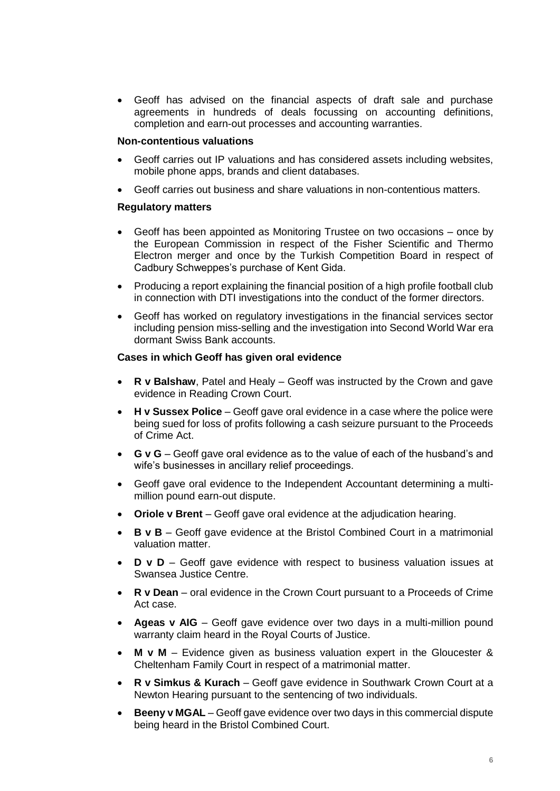• Geoff has advised on the financial aspects of draft sale and purchase agreements in hundreds of deals focussing on accounting definitions, completion and earn-out processes and accounting warranties.

## **Non-contentious valuations**

- Geoff carries out IP valuations and has considered assets including websites, mobile phone apps, brands and client databases.
- Geoff carries out business and share valuations in non-contentious matters.

# **Regulatory matters**

- Geoff has been appointed as Monitoring Trustee on two occasions once by the European Commission in respect of the Fisher Scientific and Thermo Electron merger and once by the Turkish Competition Board in respect of Cadbury Schweppes's purchase of Kent Gida.
- Producing a report explaining the financial position of a high profile football club in connection with DTI investigations into the conduct of the former directors.
- Geoff has worked on regulatory investigations in the financial services sector including pension miss-selling and the investigation into Second World War era dormant Swiss Bank accounts.

## **Cases in which Geoff has given oral evidence**

- **R v Balshaw**, Patel and Healy Geoff was instructed by the Crown and gave evidence in Reading Crown Court.
- **H v Sussex Police** Geoff gave oral evidence in a case where the police were being sued for loss of profits following a cash seizure pursuant to the Proceeds of Crime Act.
- **G v G** Geoff gave oral evidence as to the value of each of the husband's and wife's businesses in ancillary relief proceedings.
- Geoff gave oral evidence to the Independent Accountant determining a multimillion pound earn-out dispute.
- **Oriole v Brent** Geoff gave oral evidence at the adjudication hearing.
- **B v B** Geoff gave evidence at the Bristol Combined Court in a matrimonial valuation matter.
- **D v D** Geoff gave evidence with respect to business valuation issues at Swansea Justice Centre.
- **R v Dean** oral evidence in the Crown Court pursuant to a Proceeds of Crime Act case.
- **Ageas v AIG** Geoff gave evidence over two days in a multi-million pound warranty claim heard in the Royal Courts of Justice.
- **M v M** Evidence given as business valuation expert in the Gloucester & Cheltenham Family Court in respect of a matrimonial matter.
- **R v Simkus & Kurach** Geoff gave evidence in Southwark Crown Court at a Newton Hearing pursuant to the sentencing of two individuals.
- **Beeny v MGAL** Geoff gave evidence over two days in this commercial dispute being heard in the Bristol Combined Court.